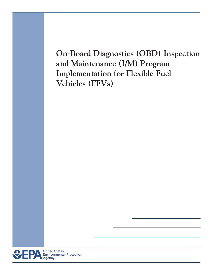**On**-**Board Diagnostics (OBD) Inspection and Maintenance (I/M) Program Implementation for Flexible Fuel Vehicles (FFVs)** 

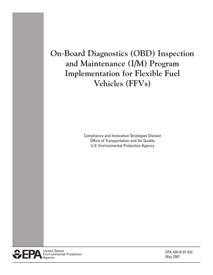# **On**-**Board Diagnostics (OBD) Inspection and Maintenance (I/M) Program Implementation for Flexible Fuel Vehicles (FFVs)**

Compliance and Innovative Strategies Division Office of Transportation and Air Quality U.S. Environmental Protection Agency



EPA-420-B-07-022 May 2007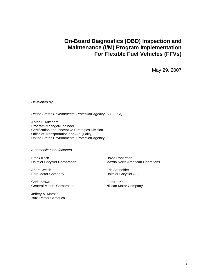## **On-Board Diagnostics (OBD) Inspection and Maintenance (I/M) Program Implementation For Flexible Fuel Vehicles (FFVs)**

May 29, 2007

*Developed by:* 

*United States Environmental Protection Agency (U.S. EPA)* 

Arvon L. Mitcham Program Manager/Engineer Certification and Innovative Strategies Division Office of Transportation and Air Quality United States Environmental Protection Agency

*Automobile Manufacturers* 

Frank Krich Daimler Chrysler Corporation

Andre Welch Ford Motor Company

Chris Brown General Motors Corporation

Jeffery A. Marsee Isuzu Motors America David Robertson Mazda North American Operations

Eric Schneider Daimler Chrysler A.G.

Farrukh Khan Nissan Motor Company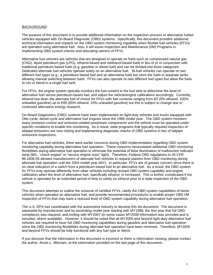#### **BACKGROUND**

The purpose of this document is to provide additional information on the inspection process of alternative fueled vehicles equipped with On-Board Diagnostic (OBD) systems. Specifically, this document provides additional technical information and impacts on the OBD system monitoring capability when flexible fuel vehicles (FFVs) are operated using alternative fuel. Also, it will assist Inspection and Maintenance (I/M) Programs in implementing OBD system checks and educating owners of FFVs.

Alternative fuel vehicles are vehicles that are designed to operate on fuels such as compressed natural gas (CNG), liquid petroleum gas (LPG), ethanol-based and methanol-based fuels in lieu of or in conjunction with traditional petroleum-based fuels (e.g. gasoline or diesel fuel) and can be divided into three categories. Dedicated alternate fuel vehicles operate solely on an alternative fuel. Bi-fuel vehicles can operate on two different fuel types (e.g., a petroleum-based fuel and an alternative fuel) but store the fuels in separate tanks allowing manual switching between fuels. FFVs can also operate on two different fuel types but allow the fuels to mix or blend in a single fuel tank.

For FFVs, the engine system typically monitors the fuel content in the fuel tank to determine the level of alternative fuel versus petroleum-based fuel, and adjust the vehicle/engine calibrations accordingly. Currently, ethanol has been the alternate fuel of choice for FFVs with fuel contents ranging from E0 (0% ethanol, 100% unleaded gasoline) up to E85 (85% ethanol, 10% unleaded gasoline) but this is subject to change due to continued alternative energy research.

On-Board Diagnostics (OBD) systems have been implemented on light-duty vehicles and trucks equipped with Otto-cycle, diesel-cycle and alternative fuel engines since the 1996 model year. The OBD system monitors many emission control and emission-related powertrain components and the vehicle must be operated under specific conditions to enable this monitoring. As a result, state programs that typically required inspection of tailpipe emissions are now relying and implementing diagnostic checks of OBD systems in lieu of tailpipe emissions inspections.

For alternative fuel vehicles, there were earlier concerns during OBD implementation regarding OBD system monitoring capability during alternative fuel operation. These concerns necessitated additional OBD monitoring flexibilities during alternative fuel operation to eliminate the potential of false illumination of malfunction indicator lamp (MIL, "check engine" or "service engine soon" light). Therefore, Federal OBD regulations in 40 CFR 86.1806-05 allowed manufacturers of alternate fuel vehicles to request waivers from OBD monitoring during alternate fuel operation until the 2004 model year (MY). In particular, FFVs are of greater concern since there is no clear indication of a switch from a petroleum-based fuel to an alternative fuel. As a result, the OBD system for FFVs may operate differently from other vehicles including revised OBD system capability and engine calibration when the level of alternative fuel, specifically ethanol, is increased. This is further complicated if the vehicle is operated for an extended period of time or solely on ethanol prior to a state inspection of the OBD system.

This document attempts to outline the universe of certified FFVs, clarify the OBD system capabilities of these vehicles when operated on alternative fuel, and provide recommended procedures to enable proper OBD I/M inspection of FFVs that may have a reduced level of OBD system capability during alternative fuel operation.

The U.S. EPA has coordinated with the automotive industry to develop this list document. The document is separated by manufacturer and by ascending model year starting with MY1996, the first year that full OBD compliance was required, and ending with MY2007 (in some cases MY2008 information was provided and is included, where available). However, it should be noted that all MY2005 and beyond light-duty alternative fuel vehicles are required to have full OBD monitoring capabilities during gasoline and alternative fuel operation since the OBD monitoring flexibilities during alternate fuel operation have been removed. Therefore, MY2005 and beyond FFVs should be fully functional with any fuel type or blend.

If you discover that the information in this document is incorrect or there is information missing, please contact the author, Arvon L. Mitcham, at the information provided on the last page of this document.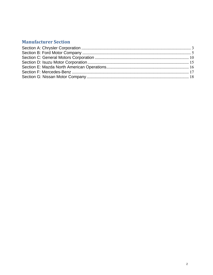## **Manufacturer Section**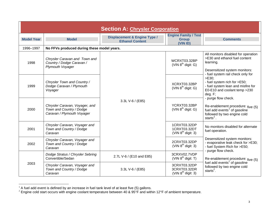| <b>Section A: Chrysler Corporation</b> |                                                                                          |                                                                   |                                                         |                                                                                                                                                                                    |
|----------------------------------------|------------------------------------------------------------------------------------------|-------------------------------------------------------------------|---------------------------------------------------------|------------------------------------------------------------------------------------------------------------------------------------------------------------------------------------|
| <b>Model Year</b>                      | <b>Model</b>                                                                             | <b>Displacement &amp; Engine Type /</b><br><b>Ethanol Content</b> | <b>Engine Family / Test</b><br><b>Group</b><br>(VIN ID) | <b>Comments</b>                                                                                                                                                                    |
| 1996-1997                              | No FFVs produced during these model years.                                               |                                                                   |                                                         |                                                                                                                                                                                    |
| 1998                                   | Chrysler Caravan and Town and<br>Country / Dodge Caravan /<br>Plymouth Voyager           |                                                                   | WCRXT03.32BP<br>(VIN $8^{th}$ digit: G)                 | All monitors disabled for operation<br>>E30 and ethanol fuel content<br>learning.<br>Desensitized system monitors:                                                                 |
| 1999                                   | Chrysler Town and Country /<br>Dodge Caravan / Plymouth<br>Voyager                       |                                                                   | XCRXT03.32BP<br>(VIN $8^{th}$ digit: G)                 | - fuel system rail check only for<br>>E30<br>- fuel system rich for >E50;<br>- fuel system lean and misfire for<br>E0-E10 and coolant temp > 230<br>deg. F;<br>- purge flow check. |
| 2000                                   | Chrysler Caravan, Voyager, and<br>Town and Country / Dodge<br>Caravan / Plymouth Voyager | 3.3L V-6 / (E85)                                                  | YCRXT03.32BP<br>(VIN $8^{th}$ digit: G)                 | Re-enablement procedure: $five(5)$ fuel add events <sup>1</sup> of gasoline<br>followed by two engine cold<br>starts $^{2}$ .                                                      |
| 2001                                   | Chrysler Caravan, Voyager and<br>Town and Country / Dodge<br>Caravan                     |                                                                   | 1CRXT03.32DP<br>1CRXT03.32DT<br>(VIN $8^{th}$ digit: 3) | No monitors disabled for alternate<br>fuel operation.                                                                                                                              |
| 2002                                   | Chrysler Caravan, Voyager and<br>Town and Country / Dodge<br>Caravan                     |                                                                   | 2CRXT03.32DP<br>(VIN $8^{th}$ digit: 3)                 | Desensitized system monitors:<br>- evaporative leak check for >E30;<br>- fuel System Rich for >E50;<br>- purge flow check.                                                         |
|                                        | Dodge Stratus / Chrysler Sebring<br>Convertible/Sedan                                    | 2.7L V-6 / (E10 and E85)                                          | 3CRXV02.7VDP<br>(VIN $8^{th}$ digit: T)                 | Re-enablement procedure: five (5)                                                                                                                                                  |
| 2003                                   | Chrysler Caravan, Voyager and<br>Town and Country / Dodge<br>Caravan                     | 3.3L V-6 / (E85)                                                  | 3CRXT03.32DP<br>3CRXT03.32DR<br>$(VIN 8th$ digit: 3)    | fuel add events <sup>1</sup> of gasoline<br>followed by two engine cold<br>starts $2$ .                                                                                            |

<span id="page-5-1"></span> $1$  A fuel add event is defined by an increase in fuel tank level of at least five (5) gallons.

<span id="page-5-2"></span><span id="page-5-0"></span><sup>&</sup>lt;sup>2</sup> Engine cold start occurs with engine coolant temperature between 40 & 95°F and within 12°F of ambient temperature.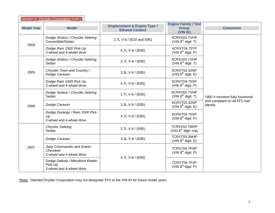|                   | Section A: Chrysler Corporation (cont.)                                  |                                                                   |                                                         |                                          |
|-------------------|--------------------------------------------------------------------------|-------------------------------------------------------------------|---------------------------------------------------------|------------------------------------------|
| <b>Model Year</b> | <b>Model</b>                                                             | <b>Displacement &amp; Engine Type /</b><br><b>Ethanol Content</b> | <b>Engine Family / Test</b><br><b>Group</b><br>(VIN ID) | <b>Comments</b>                          |
| 2004              | Dodge Stratus / Chrysler Sebring<br>Convertible/Sedan                    | 2.7L V-6 / (E10 and E85)                                          | 4CRXV02.7VHP<br>$(VIN 8th$ digit: T)                    |                                          |
|                   | Dodge Ram 1500 Pick-Up<br>2-wheel and 4-wheel drive                      | 4.7L V-8 / (E85)                                                  | 4CRXT04.75TP<br>(VIN $8^{th}$ digit: P)                 |                                          |
|                   | Dodge Stratus / Chrysler Sebring<br>Sedan                                | 2.7L V-6 / (E85)                                                  | 5CRXV02.7VHP<br>(VIN $8^{th}$ digit: T)                 |                                          |
| 2005              | Chrysler Town and Country /<br>Dodge Caravan                             | 3.3L V-6 / (E85)                                                  | 5CRXT03.32NP<br>(VIN $8^{th}$ digit: E)                 |                                          |
|                   | Dodge Ram 1500 Pick-Up<br>2-wheel and 4-wheel drive                      | 4.7L V-8 / (E85)                                                  | 5CRXT04.75SP<br>$(VIN 8th$ digit: P)                    |                                          |
|                   | Dodge Stratus / Chrysler Sebring<br>Sedan                                | 2.7L V-6 / (E85)                                                  | 6CRXV02.7VHP<br>$(VIN 8th$ digit: T)                    | OBD II monitors fully functional         |
| 2006              | Dodge Caravan                                                            | 3.3L V-6 / (E85)                                                  | 6CRXT03.32NP<br>$(VIN 8th$ digit: E)                    | and compliant on all FFV fuel<br>blends. |
|                   | Dodge Durango / Ram 1500 Pick-<br>Up<br>2-wheel and 4-wheel drive        | 4.7L V-8 / (E85)                                                  | 6CRXT04.75SP<br>(VIN $8^{th}$ digit: P)                 |                                          |
|                   | <b>Chrysler Sebring</b><br>Sedan                                         | 2.7L V-6 / (E85)                                                  | 7CRXV02.7MHP<br>(VIN $8^{th}$ digit: $n/a$ )            |                                          |
| 2007              | Dodge Caravan                                                            | 3.3L V-6 / (E85)                                                  | 7CRXT03.3NHP<br>(VIN $8^{th}$ digit: E)                 |                                          |
|                   | Jeep Commander and Grand<br>Cherokee<br>2-wheel and 4-wheel drive        | 4.7L V-8 / (E85)                                                  | 7CRXT04.7PSP<br>$(VIN 8th$ digit: P)                    |                                          |
|                   | Dodge Dakota / Mitsubishi Raider<br>Pick-Up<br>2-wheel and 4-wheel drive |                                                                   | 7CRXT04.7PJP<br>(VIN $8^{th}$ digit: P)                 |                                          |

\*Note: DaimlerChrysler Corporation may not designate FFV in the VIN ID for future model years.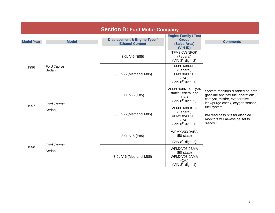<span id="page-7-1"></span><span id="page-7-0"></span>

| <b>Section B: Ford Motor Company</b> |                             |                                                                   |                                                                                    |                                                                                                                                                                                                                                              |
|--------------------------------------|-----------------------------|-------------------------------------------------------------------|------------------------------------------------------------------------------------|----------------------------------------------------------------------------------------------------------------------------------------------------------------------------------------------------------------------------------------------|
| <b>Model Year</b>                    | <b>Model</b>                | <b>Displacement &amp; Engine Type /</b><br><b>Ethanol Content</b> | <b>Engine Family / Test</b><br><b>Group</b><br>(Sales Area)<br>(VIN ID)            | <b>Comments</b>                                                                                                                                                                                                                              |
|                                      |                             | 3.0L V-6 (E85)                                                    | TFM3.0V8NFGK<br>(Federal)<br>(VIN $8^{th}$ digit: 2)                               |                                                                                                                                                                                                                                              |
| 1996                                 | <b>Ford Taurus</b><br>Sedan | 3.0L V-6 (Methanol M85)                                           | TFM3.0V8FFEK<br>(Federal)<br>TFM3.0V8F2EK<br>(CA.)<br>(VIN $8^{th}$ digit: 1)      |                                                                                                                                                                                                                                              |
| <b>Ford Taurus</b><br>1997<br>Sedan  |                             | 3.0L V-6 (E85)                                                    | <b>VFM3.0V8NKGK (50-</b><br>state: Federal and<br>CA.<br>(VIN $8^{th}$ digit: 2)   | System monitors disabled on both<br>gasoline and flex fuel operation:<br>catalyst, misfire, evaporative<br>leak/purge check, oxygen sensor,<br>fuel system.<br>I/M readiness bits for disabled<br>monitors will always be set to<br>"ready." |
|                                      |                             | 3.0L V-6 (Methanol M85)                                           | VFM3.0V8FKEK<br>(Federal)<br>VFM3.0V8F2EK<br>(CA.)<br>$(VIN 8th$ digit: 1)         |                                                                                                                                                                                                                                              |
| 1998                                 | <b>Ford Taurus</b><br>Sedan | 3.0L V-6 (E85)                                                    | WFMXV03.0AEA<br>$(50 - state)$<br>$(VIN 8th$ digit: 2)                             |                                                                                                                                                                                                                                              |
|                                      |                             | 3.0L V-6 (Methanol M85)                                           | WFMXV03.0BMA<br>$(50 - state)$<br>WFMXV03.0AMA<br>(CA.)<br>(VIN $8^{th}$ digit: 1) |                                                                                                                                                                                                                                              |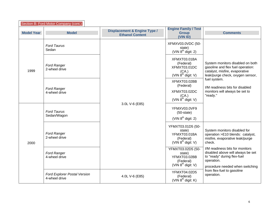|                   | Section B: Ford Motor Company (cont.)                |                                                                   |                                                                                     |                                                                                                                                                      |
|-------------------|------------------------------------------------------|-------------------------------------------------------------------|-------------------------------------------------------------------------------------|------------------------------------------------------------------------------------------------------------------------------------------------------|
| <b>Model Year</b> | <b>Model</b>                                         | <b>Displacement &amp; Engine Type /</b><br><b>Ethanol Content</b> | <b>Engine Family / Test</b><br><b>Group</b><br>(VIN ID)                             | <b>Comments</b>                                                                                                                                      |
| 1999              | <b>Ford Taurus</b><br>Sedan                          |                                                                   | XFMXV03.0VDC (50-<br>state)<br>(VIN $8th$ digit: 2)                                 |                                                                                                                                                      |
|                   | <b>Ford Ranger</b><br>2-wheel drive                  | 3.0L V-6 (E85)                                                    | XFMXT03.01BA<br>(Federal)<br>XFMXT03.01DC<br>(CA.)<br>(VIN $8^{th}$ digit: V)       | System monitors disabled on both<br>gasoline and flex fuel operation:<br>catalyst, misfire, evaporative<br>leak/purge check, oxygen sensor,          |
|                   | <b>Ford Ranger</b><br>4-wheel drive                  |                                                                   | XFMXT03.02BB<br>(Federal)<br>XFMXT03.02DC<br>(CA.)<br>(VIN $8^{th}$ digit: V)       | fuel system.<br>I/M readiness bits for disabled<br>monitors will always be set to<br>"ready."                                                        |
| 2000              | <b>Ford Taurus</b><br>Sedan/Wagon                    |                                                                   | YFMXV03.0VF9<br>$(50 - state)$<br>(VIN $8th$ digit: 2)                              |                                                                                                                                                      |
|                   | <b>Ford Ranger</b><br>2-wheel drive                  |                                                                   | YFMXT03.01D5 (50-<br>state)<br>YFMXT03.01BA<br>(Federal)<br>(VIN $8^{th}$ digit: V) | System monitors disabled for<br>operation >E10 blends: catalyst,<br>misfire, evaporative leak/purge<br>check.                                        |
|                   | <b>Ford Ranger</b><br>4-wheel drive                  |                                                                   | YFMXT03.02D5 (50-<br>state)<br>YFMXT03.02BB<br>(Federal)<br>(VIN $8^{th}$ digit: V) | I/M readiness bits for monitors<br>disabled above will always be set<br>to "ready" during flex-fuel<br>operation.<br>procedure needed when switching |
|                   | <b>Ford Explorer Postal Version</b><br>4-wheel drive | 4.0L V-6 (E85)                                                    | YFMXT04.02D5<br>(Federal)<br>(VIN $8^{th}$ digit: K)                                | from flex-fuel to gasoline<br>operation.                                                                                                             |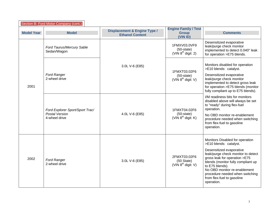| Section B: Ford Motor Company (cont.) |                                                                    |                                                                   |                                                                 |                                                                                                                                                                                                                                                                                                                                      |
|---------------------------------------|--------------------------------------------------------------------|-------------------------------------------------------------------|-----------------------------------------------------------------|--------------------------------------------------------------------------------------------------------------------------------------------------------------------------------------------------------------------------------------------------------------------------------------------------------------------------------------|
| <b>Model Year</b>                     | <b>Model</b>                                                       | <b>Displacement &amp; Engine Type /</b><br><b>Ethanol Content</b> | <b>Engine Family / Test</b><br><b>Group</b><br>(VIN ID)         | <b>Comments</b>                                                                                                                                                                                                                                                                                                                      |
| 2001                                  | Ford Taurus/Mercury Sable<br>Sedan/Wagon                           |                                                                   | 1FMXV03.0VF9<br>$(50 - state)$<br>(VIN $8^{th}$ digit: 2)       | Desensitized evaporative<br>leak/purge check monitor<br>implemented to detect 0.040" leak<br>for operation >E75 blends.                                                                                                                                                                                                              |
|                                       | <b>Ford Ranger</b><br>2-wheel drive                                | 3.0L V-6 (E85)                                                    | 1FMXT03.02F6<br>$(50 - state)$<br>(VIN $8^{th}$ digit: V)       | Monitors disabled for operation<br>>E10 blends: catalyst.<br>Desensitized evaporative<br>leak/purge check monitor<br>implemented to detect gross leak<br>for operation >E75 blends (monitor<br>fully compliant up to E75 blends).                                                                                                    |
|                                       | Ford Explorer Sport/Sport Trac/<br>Postal Version<br>4-wheel drive | 4.0L V-6 (E85)                                                    | 1FMXT04.02F6<br>$(50 - state)$<br>(VIN $8^{th}$ digit: K)       | I/M readiness bits for monitors<br>disabled above will always be set<br>to "ready" during flex-fuel<br>operation.<br>No OBD monitor re-enablement<br>procedure needed when switching<br>from flex-fuel to gasoline<br>operation.                                                                                                     |
| 2002                                  | <b>Ford Ranger</b><br>2-wheel drive                                | 3.0L V-6 (E85)                                                    | 2FMXT03.02F6<br>$(50 \text{ State})$<br>(VIN $8^{th}$ digit: V) | Monitors Disabled for operation<br>>E10 blends: catalyst.<br>Desensitized evaporative<br>leak/purge check monitor to detect<br>gross leak for operation >E75<br>blends (monitor fully compliant up<br>to E75 blends).<br>No OBD monitor re-enablement<br>procedure needed when switching<br>from flex-fuel to gasoline<br>operation. |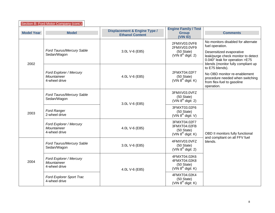| Section B: Ford Motor Company (cont.) |                                                         |                                                                   |                                                                                 |                                                                                                                                        |
|---------------------------------------|---------------------------------------------------------|-------------------------------------------------------------------|---------------------------------------------------------------------------------|----------------------------------------------------------------------------------------------------------------------------------------|
| <b>Model Year</b>                     | <b>Model</b>                                            | <b>Displacement &amp; Engine Type /</b><br><b>Ethanol Content</b> | <b>Engine Family / Test</b><br><b>Group</b><br>(VIN ID)                         | <b>Comments</b>                                                                                                                        |
|                                       |                                                         |                                                                   | 2FMXV03.0VF8<br>2FMXV03.0VF9                                                    | No monitors disabled for alternate<br>fuel operation.                                                                                  |
| 2002                                  | Ford Taurus/Mercury Sable<br>Sedan/Wagon                | 3.0L V-6 (E85)                                                    | $(50 \text{ State})$<br>(VIN $8^{th}$ digit: 2)                                 | Desensitized evaporative<br>leak/purge check monitor to detect<br>0.040" leak for operation >E75<br>blends (monitor fully compliant up |
|                                       |                                                         |                                                                   |                                                                                 | to E75 blends).                                                                                                                        |
|                                       | Ford Explorer / Mercury<br>Mountaineer<br>4-wheel drive | 4.0L V-6 (E85)                                                    | 2FMXT04.02F7<br>$(50 \text{ State})$<br>(VIN $8^{\text{th}}$ digit: K)          | No OBD monitor re-enablement<br>procedure needed when switching<br>from flex-fuel to gasoline<br>operation.                            |
| 2003                                  | Ford Taurus/Mercury Sable<br>Sedan/Wagon                | 3.0L V-6 (E85)                                                    | 3FMXV03.0VFZ<br>$(50 \text{ State})$<br>(VIN $8^{th}$ digit: 2)                 |                                                                                                                                        |
|                                       | <b>Ford Ranger</b><br>2-wheel drive                     |                                                                   | 3FMXT03.02F6<br>$(50 \text{ State})$<br>(VIN $8^{th}$ digit: V)                 |                                                                                                                                        |
|                                       | Ford Explorer / Mercury<br>Mountaineer<br>4-wheel drive | 4.0L V-6 (E85)                                                    | 3FMXT04.02F7<br>3FMXT04.02FB<br>$(50 \text{ State})$<br>(VIN $8^{th}$ digit: K) | OBD II monitors fully functional<br>and compliant on all FFV fuel                                                                      |
| 2004                                  | Ford Taurus/Mercury Sable<br>Sedan/Wagon                | 3.0L V-6 (E85)                                                    | 4FMXV03.0VFZ<br>$(50 \text{ State})$<br>(VIN $8^{th}$ digit: 2)                 | blends.                                                                                                                                |
|                                       | Ford Explorer / Mercury<br>Mountaineer<br>4-wheel drive | 4.0L V-6 (E85)                                                    | 4FMXT04.02K6<br>4FMXT04.02K8<br>$(50 \text{ State})$<br>(VIN $8^{th}$ digit: K) |                                                                                                                                        |
|                                       | Ford Explorer Sport Trac<br>4-wheel drive               |                                                                   | 4FMXT04.02K4<br>$(50 \text{ State})$<br>(VIN $8th$ digit: K)                    |                                                                                                                                        |

 $\overline{\phantom{a}}$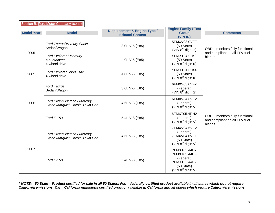|                   | Section B: Ford Motor Company (cont.)                            |                                                                   |                                                                                                           |                                                                              |  |
|-------------------|------------------------------------------------------------------|-------------------------------------------------------------------|-----------------------------------------------------------------------------------------------------------|------------------------------------------------------------------------------|--|
| <b>Model Year</b> | <b>Model</b>                                                     | <b>Displacement &amp; Engine Type /</b><br><b>Ethanol Content</b> | <b>Engine Family / Test</b><br><b>Group</b><br>(VIN ID)                                                   | <b>Comments</b>                                                              |  |
|                   | Ford Taurus/Mercury Sable<br>Sedan/Wagon                         | 3.0L V-6 (E85)                                                    | 5FMXV03.0VFZ<br>$(50 \text{ State})$<br>(VIN $8^{th}$ digit: 2)                                           | OBD II monitors fully functional                                             |  |
| 2005              | Ford Explorer / Mercury<br><b>Mountaineer</b><br>4-wheel drive   | 4.0L V-6 (E85)                                                    | 5FMXT04.02K8<br>$(50 \text{ State})$<br>(VIN $8^{th}$ digit: K)                                           | and compliant on all FFV fuel<br>blends.                                     |  |
| 2005              | Ford Explorer Sport Trac<br>4-wheel drive                        | 4.0L V-6 (E85)                                                    | 5FMXT04.02K4<br>$(50 \text{ State})$<br>(VIN $8^{th}$ digit: K)                                           |                                                                              |  |
|                   | <b>Ford Taurus</b><br>Sedan/Wagon                                | 3.0L V-6 (E85)                                                    | 6FMXV03.0VFZ<br>(Federal)<br>(VIN $8th$ digit: 2)                                                         | OBD II monitors fully functional<br>and compliant on all FFV fuel<br>blends. |  |
| 2006              | Ford Crown Victoria / Mercury<br>Grand Marquis/ Lincoln Town Car | 4.6L V-8 (E85)                                                    | 6FMXV04.6VE2<br>(Federal)<br>(VIN $8^{th}$ digit: V)                                                      |                                                                              |  |
|                   | Ford F-150                                                       | 5.4L V-8 (E85)                                                    | 6FMXT05.4RH2<br>(Federal)<br>(VIN $8^{th}$ digit: V)                                                      |                                                                              |  |
|                   | Ford Crown Victoria / Mercury<br>Grand Marquis/ Lincoln Town Car | 4.6L V-8 (E85)                                                    | 7FMXV04.6VE2<br>(Federal)<br>7FMXV04.6VEF<br>$(50 \text{ State})$<br>(VIN $8^{th}$ digit: V)              |                                                                              |  |
| 2007              | Ford F-150                                                       | 5.4L V-8 (E85)                                                    | 7FMXT05.44H2<br>7FMXT05.44HF<br>(Federal)<br>7FMXT05.44E2<br>$(50 \text{ State})$<br>(VIN $8th$ digit: V) |                                                                              |  |

*\* NOTE: 50 State = Product certified for sale in all 50 States; Fed = federally certified product available in all states which do not require California emissions; Cal = California emissions certified product available in California and all states which require California emissions.*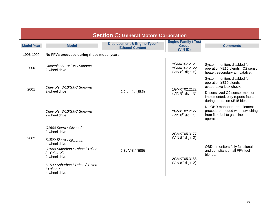<span id="page-12-1"></span><span id="page-12-0"></span>

| <b>Section C: General Motors Corporation</b> |                                                                                                                                |                                                                   |                                                         |                                                                                                             |
|----------------------------------------------|--------------------------------------------------------------------------------------------------------------------------------|-------------------------------------------------------------------|---------------------------------------------------------|-------------------------------------------------------------------------------------------------------------|
| <b>Model Year</b>                            | <b>Model</b>                                                                                                                   | <b>Displacement &amp; Engine Type /</b><br><b>Ethanol Content</b> | <b>Engine Family / Test</b><br><b>Group</b><br>(VIN ID) | <b>Comments</b>                                                                                             |
| 1996-1999                                    | No FFVs produced during these model years.                                                                                     |                                                                   |                                                         |                                                                                                             |
| 2000                                         | Chevrolet S-10/GMC Sonoma<br>2-wheel drive                                                                                     |                                                                   | YGMXT02.2121<br>YGMXT02.2122<br>(VIN $8^{th}$ digit: 5) | System monitors disabled for<br>operation ≥E15 blends: O2 sensor<br>heater, secondary air, catalyst.        |
| 2001<br>2002                                 | Chevrolet S-10/GMC Sonoma<br>2-wheel drive                                                                                     |                                                                   | 1GMXT02.2122<br>(VIN $8^{th}$ digit: 5)                 | System monitors disabled for<br>operation ≥E10 blends:<br>evaporative leak check.                           |
|                                              |                                                                                                                                | 2.2 L I-4 / (E85)<br>5.3L V-8 / (E85)                             |                                                         | Desensitized O2 sensor monitor<br>implemented; only reports faults<br>during operation ≤E15 blends.         |
|                                              | Chevrolet S-10/GMC Sonoma<br>2-wheel drive                                                                                     |                                                                   | 2GMXT02.2122<br>(VIN $8^{th}$ digit: 5)                 | No OBD monitor re-enablement<br>procedure needed when switching<br>from flex-fuel to gasoline<br>operation. |
|                                              | C1500 Sierra / Silverado<br>2-wheel drive<br>K1500 Sierra / Silverado<br>4-wheel drive                                         |                                                                   | 2GMXT05.3177<br>(VIN $8^{th}$ digit: Z)                 |                                                                                                             |
|                                              | C1500 Suburban / Tahoe / Yukon<br>/ Yukon XL<br>2-wheel drive<br>K1500 Suburban / Tahoe / Yukon<br>/ Yukon XL<br>4-wheel drive |                                                                   | 2GMXT05.3188<br>(VIN $8^{th}$ digit: Z)                 | OBD II monitors fully functional<br>and compliant on all FFV fuel<br>blends.                                |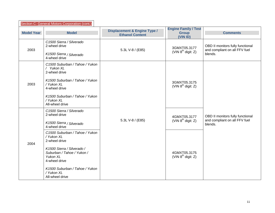| Section C: General Motors Corporation (cont.) |                                                                                                                                                                                                                                                                                                                     |                                                                   |                                                                                    |                                                                              |
|-----------------------------------------------|---------------------------------------------------------------------------------------------------------------------------------------------------------------------------------------------------------------------------------------------------------------------------------------------------------------------|-------------------------------------------------------------------|------------------------------------------------------------------------------------|------------------------------------------------------------------------------|
| <b>Model Year</b>                             | <b>Model</b>                                                                                                                                                                                                                                                                                                        | <b>Displacement &amp; Engine Type /</b><br><b>Ethanol Content</b> | <b>Engine Family / Test</b><br><b>Group</b><br>(VIN ID)                            | <b>Comments</b>                                                              |
| 2003                                          | C1500 Sierra / Silverado<br>2-wheel drive<br>K1500 Sierra / Silverado<br>4-wheel drive                                                                                                                                                                                                                              | 5.3L V-8 / (E85)                                                  | 3GMXT05.3177<br>(VIN $8^{th}$ digit: Z)                                            | OBD II monitors fully functional<br>and compliant on all FFV fuel<br>blends. |
| 2003                                          | C1500 Suburban / Tahoe / Yukon<br>/ Yukon XL<br>2-wheel drive<br>K1500 Suburban / Tahoe / Yukon<br>/ Yukon XL<br>4-wheel drive<br>K1500 Suburban / Tahoe / Yukon<br>/ Yukon XL<br>All-wheel drive                                                                                                                   |                                                                   | 3GMXT05.3175<br>(VIN $8^{th}$ digit: Z)                                            |                                                                              |
| 2004                                          | C1500 Sierra / Silverado<br>2-wheel drive<br>K1500 Sierra / Silverado<br>4-wheel drive<br>C1500 Suburban / Tahoe / Yukon<br>/ Yukon XL<br>2-wheel drive<br>K1500 Sierra / Silverado /<br>Suburban / Tahoe / Yukon /<br>Yukon XL<br>4-wheel drive<br>K1500 Suburban / Tahoe / Yukon<br>/ Yukon XL<br>All-wheel drive | 5.3L V-8 / (E85)                                                  | 4GMXT05.3177<br>(VIN $8^{th}$ digit: Z)<br>4GMXT05.3175<br>(VIN $8^{th}$ digit: Z) | OBD II monitors fully functional<br>and compliant on all FFV fuel<br>blends. |

 $\mathbf{r}$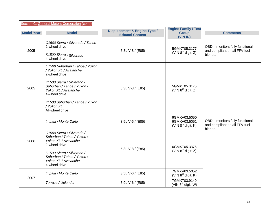| Section C: General Motors Corporation (cont.) |                                                                                                                                                                                                                                                   |                                                                   |                                                         |                                                                              |
|-----------------------------------------------|---------------------------------------------------------------------------------------------------------------------------------------------------------------------------------------------------------------------------------------------------|-------------------------------------------------------------------|---------------------------------------------------------|------------------------------------------------------------------------------|
| <b>Model Year</b>                             | <b>Model</b>                                                                                                                                                                                                                                      | <b>Displacement &amp; Engine Type /</b><br><b>Ethanol Content</b> | <b>Engine Family / Test</b><br><b>Group</b><br>(VIN ID) | <b>Comments</b>                                                              |
| 2005                                          | C1500 Sierra / Silverado / Tahoe<br>2-wheel drive<br>K1500 Sierra / Silverado<br>4-wheel drive                                                                                                                                                    | 5.3L V-8 / (E85)                                                  | 5GMXT05.3177<br>(VIN $8^{th}$ digit: Z)                 | OBD II monitors fully functional<br>and compliant on all FFV fuel<br>blends. |
| 2005                                          | C1500 Suburban / Tahoe / Yukon<br>/ Yukon XL / Avalanche<br>2-wheel drive<br>K1500 Sierra / Silverado /<br>Suburban / Tahoe / Yukon /<br>Yukon XL / Avalanche<br>4-wheel drive<br>K1500 Suburban / Tahoe / Yukon<br>/ Yukon XL<br>All-wheel drive | 5.3L V-8 / (E85)                                                  | 5GMXT05.3175<br>(VIN $8^{th}$ digit: Z)                 |                                                                              |
|                                               | Impala / Monte Carlo                                                                                                                                                                                                                              | 3.5L V-6 / (E85)                                                  | 6GMXV03.5050<br>6GMXV03.5051<br>$(VIN 8th$ digit: K)    | OBD II monitors fully functional<br>and compliant on all FFV fuel<br>blends. |
| 2006                                          | C1500 Sierra / Silverado /<br>Suburban / Tahoe / Yukon /<br>Yukon XL / Avalanche<br>2-wheel drive<br>K1500 Sierra / Silverado /<br>Suburban / Tahoe / Yukon /<br>Yukon XL / Avalanche<br>4-wheel drive                                            | 5.3L V-8 / (E85)                                                  | 6GMXT05.3375<br>(VIN $8^{th}$ digit: Z)                 |                                                                              |
| 2007                                          | Impala / Monte Carlo                                                                                                                                                                                                                              | 3.5L V-6 / (E85)                                                  | 7GMXV03.5052<br>$(VIN 8th$ digit: K)                    |                                                                              |
|                                               | Terraza / Uplander                                                                                                                                                                                                                                | 3.9L V-6 / (E85)                                                  | 7GMXT03.9140<br>(VIN 8 <sup>th</sup> digit: W)          |                                                                              |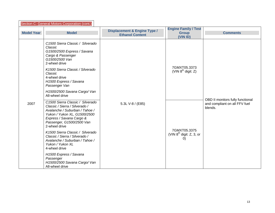| Section C: General Motors Corporation (cont.) |                                                                                                                                                                                                                |                                                                   |                                                         |                                          |
|-----------------------------------------------|----------------------------------------------------------------------------------------------------------------------------------------------------------------------------------------------------------------|-------------------------------------------------------------------|---------------------------------------------------------|------------------------------------------|
| <b>Model Year</b>                             | <b>Model</b>                                                                                                                                                                                                   | <b>Displacement &amp; Engine Type /</b><br><b>Ethanol Content</b> | <b>Engine Family / Test</b><br><b>Group</b><br>(VIN ID) | <b>Comments</b>                          |
|                                               | C1500 Sierra Classic / Silverado<br>Classic<br>G1500/2500 Express / Savana<br>Cargo & Passenger<br>G1500/2500 Van<br>2-wheel drive                                                                             |                                                                   |                                                         |                                          |
|                                               | K1500 Sierra Classic / Silverado<br>Classic<br>4-wheel drive<br>H1500 Express / Savana<br>Passenger Van                                                                                                        |                                                                   | 7GMXT05.3373<br>(VIN $8^{th}$ digit: Z)                 |                                          |
| 2007                                          | H1500/2500 Savana Cargo/ Van<br>All-wheel drive                                                                                                                                                                | 5.3L V-8 / (E85)<br>O)                                            |                                                         | OBD II monitors fully functional         |
|                                               | C1500 Sierra Classic / Silverado<br>Classic / Sierra / Silverado /<br>Avalanche / Suburban / Tahoe /<br>Yukon / Yukon XL, G1500/2500<br>Express / Savana Cargo &<br>Passenger, G1500/2500 Van<br>2-wheel drive |                                                                   | 7GMXT05.3375<br>(VIN $8^{th}$ digit: Z, 3, or           | and compliant on all FFV fuel<br>blends. |
|                                               | K1500 Sierra Classic / Silverado<br>Classic / Sierra / Silverado /<br>Avalanche / Suburban / Tahoe /<br>Yukon / Yukon XL<br>4-wheel drive                                                                      |                                                                   |                                                         |                                          |
|                                               | H1500 Express / Savana<br>Passenger<br>H1500/2500 Savana Cargo/ Van<br>All-wheel drive                                                                                                                         |                                                                   |                                                         |                                          |

 $\mathbf{r}$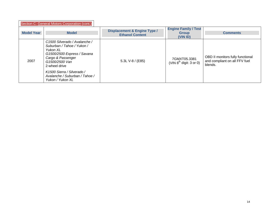|                   | Section C: General Motors Corporation (cont.)                                                                                                                                                                                                      |                                                                   |                                                         |                                                                              |
|-------------------|----------------------------------------------------------------------------------------------------------------------------------------------------------------------------------------------------------------------------------------------------|-------------------------------------------------------------------|---------------------------------------------------------|------------------------------------------------------------------------------|
| <b>Model Year</b> | <b>Model</b>                                                                                                                                                                                                                                       | <b>Displacement &amp; Engine Type /</b><br><b>Ethanol Content</b> | <b>Engine Family / Test</b><br><b>Group</b><br>(VIN ID) | <b>Comments</b>                                                              |
| 2007              | C1500 Silverado / Avalanche /<br>Suburban / Tahoe / Yukon /<br>Yukon XL<br>G1500/2500 Express / Savana<br>Cargo & Passenger<br>G1500/2500 Van<br>2-wheel drive<br>K1500 Sierra / Silverado /<br>Avalanche / Suburban / Tahoe /<br>Yukon / Yukon XL | 5.3L V-8 $/$ (E85)                                                | 7GMXT05.3381<br>(VIN $8th$ digit: 3 or 0)               | OBD II monitors fully functional<br>and compliant on all FFV fuel<br>blends. |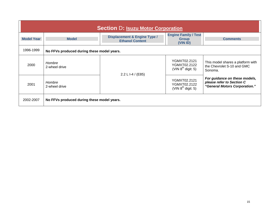<span id="page-17-0"></span>

| <b>Section D: Isuzu Motor Corporation</b> |                                            |                                                                   |                                                         |                                                                                             |
|-------------------------------------------|--------------------------------------------|-------------------------------------------------------------------|---------------------------------------------------------|---------------------------------------------------------------------------------------------|
| <b>Model Year</b>                         | <b>Model</b>                               | <b>Displacement &amp; Engine Type /</b><br><b>Ethanol Content</b> | <b>Engine Family / Test</b><br><b>Group</b><br>(VIN ID) | <b>Comments</b>                                                                             |
| 1996-1999                                 | No FFVs produced during these model years. |                                                                   |                                                         |                                                                                             |
| 2000                                      | Hombre<br>2-wheel drive                    | 2.2 L I-4 / (E85)                                                 | YGMXT02.2121<br>YGMXT02.2122<br>(VIN $8^{th}$ digit: 5) | This model shares a platform with<br>the Chevrolet S-10 and GMC<br>Sonoma.                  |
| 2001                                      | Hombre<br>2-wheel drive                    |                                                                   | YGMXT02.2121<br>YGMXT02.2122<br>(VIN $8^{th}$ digit: 5) | For guidance on these models,<br>please refer to Section C<br>"General Motors Corporation." |
| 2002-2007                                 | No FFVs produced during these model years. |                                                                   |                                                         |                                                                                             |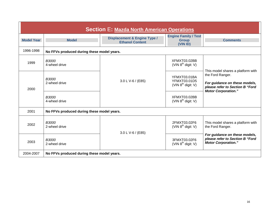<span id="page-18-1"></span><span id="page-18-0"></span>

| <b>Section E: Mazda North American Operations</b> |                                            |                                                                   |                                                         |                                                                                                                                                         |
|---------------------------------------------------|--------------------------------------------|-------------------------------------------------------------------|---------------------------------------------------------|---------------------------------------------------------------------------------------------------------------------------------------------------------|
| <b>Model Year</b>                                 | <b>Model</b>                               | <b>Displacement &amp; Engine Type /</b><br><b>Ethanol Content</b> | <b>Engine Family / Test</b><br><b>Group</b><br>(VIN ID) | <b>Comments</b>                                                                                                                                         |
| 1996-1998                                         | No FFVs produced during these model years. |                                                                   |                                                         |                                                                                                                                                         |
| 1999                                              | <b>B3000</b><br>4-wheel drive              | 3.0 L V-6 / (E85)                                                 | XFMXT03.02BB<br>(VIN $8^{\text{th}}$ digit: V)          | This model shares a platform with<br>the Ford Ranger.<br>For guidance on these models,<br>please refer to Section B "Ford<br><b>Motor Corporation."</b> |
| 2000                                              | <b>B3000</b><br>2-wheel drive              |                                                                   | YFMXT03.01BA<br>YFMXT03.01D5<br>(VIN $8^{th}$ digit: V) |                                                                                                                                                         |
|                                                   | <b>B3000</b><br>4-wheel drive              |                                                                   | XFMXT03.02BB<br>(VIN $8^{th}$ digit: V)                 |                                                                                                                                                         |
| 2001                                              | No FFVs produced during these model years. |                                                                   |                                                         |                                                                                                                                                         |
| 2002                                              | <b>B3000</b><br>2-wheel drive              | 3.0 L V-6 / (E85)                                                 | 2FMXT03.02F6<br>(VIN $8^{th}$ digit: V)                 | This model shares a platform with<br>the Ford Ranger.                                                                                                   |
| 2003                                              | <b>B3000</b><br>2-wheel drive              |                                                                   | 3FMXT03.02F6<br>(VIN $8^{th}$ digit: V)                 | For guidance on these models,<br>please refer to Section B "Ford<br><b>Motor Corporation."</b>                                                          |
| 2004-2007                                         | No FFVs produced during these model years. |                                                                   |                                                         |                                                                                                                                                         |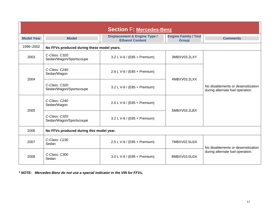| <b>Section F: Mercedes-Benz</b> |                                            |                                                                   |                                             |                                                                        |
|---------------------------------|--------------------------------------------|-------------------------------------------------------------------|---------------------------------------------|------------------------------------------------------------------------|
| <b>Model Year</b>               | <b>Model</b>                               | <b>Displacement &amp; Engine Type /</b><br><b>Ethanol Content</b> | <b>Engine Family / Test</b><br><b>Group</b> | <b>Comments</b>                                                        |
| 1996-2002                       | No FFVs produced during these model years. |                                                                   |                                             |                                                                        |
| 2003                            | C-Class: C320<br>Sedan/Wagon/Sportscoupe   | 3.2 L V-6 / (E85 + Premium)                                       | 3MBXV03.2LXY                                |                                                                        |
| 2004                            | C-Class: C240<br>Sedan/Wagon               | 2.6 L V-6 / (E85 + Premium)                                       | 4MBXV03.2LXX                                | No disablements or desensitization<br>during alternate fuel operation. |
|                                 | C-Class: C320<br>Sedan/Wagon/Sportscoupe   | 3.2 L V-6 / (E85 + Premium)                                       |                                             |                                                                        |
| 2005                            | C-Class: C240<br>Sedan/Wagon               | 2.6 L V-6 / (E85 + Premium)                                       | 5MBXV03.2LBX                                |                                                                        |
|                                 | C-Class: C320<br>Sedan/Wagon/Sportscoupe   | 3.2 L V-6 / (E85 + Premium)                                       |                                             |                                                                        |
| 2006                            | No FFVs produced during this model year.   |                                                                   |                                             |                                                                        |
| 2007                            | C-Class: C230<br>Sedan                     | 2.5 L V-6 / (E85 + Premium)                                       | 7MBXV02.5U2A<br>8MBXV03.0U2A                | No disablements or desensitization<br>during alternate fuel operation. |
| 2008                            | C-Class: C300<br>Sedan                     | 3.0 L V-6 / (E85 + Premium)                                       |                                             |                                                                        |

<span id="page-19-1"></span><span id="page-19-0"></span>*\* NOTE: Mercedes-Benz do not use a special indicator in the VIN for FFVs.*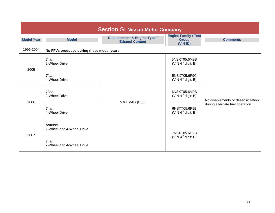<span id="page-20-1"></span><span id="page-20-0"></span>

| <b>Section G: Nissan Motor Company</b> |                                            |                                                                   |                                                         |                                                                        |
|----------------------------------------|--------------------------------------------|-------------------------------------------------------------------|---------------------------------------------------------|------------------------------------------------------------------------|
| <b>Model Year</b>                      | <b>Model</b>                               | <b>Displacement &amp; Engine Type /</b><br><b>Ethanol Content</b> | <b>Engine Family / Test</b><br><b>Group</b><br>(VIN ID) | <b>Comments</b>                                                        |
| 1996-2004                              | No FFVs produced during these model years. |                                                                   |                                                         |                                                                        |
| 2005                                   | Titan<br>2-Wheel Drive                     | 5.6 L V-8 / (E85)                                                 | 5NSXT05.6M9B<br>(VIN $4^{\text{th}}$ digit: B)          | No disablements or desensitization<br>during alternate fuel operation. |
|                                        | Titan<br>4-Wheel Drive                     |                                                                   | 5NSXT05.6P9C<br>(VIN $4^{\text{th}}$ digit: B)          |                                                                        |
| 2006                                   | Titan<br>2-Wheel Drive                     |                                                                   | 6NSXT05.6M9B<br>(VIN $4^{\text{th}}$ digit: B)          |                                                                        |
|                                        | Titan<br>4-Wheel Drive                     |                                                                   | 6NSXT05.6P9B<br>(VIN $4^{\text{th}}$ digit: B)          |                                                                        |
| 2007                                   | Armada<br>2-Wheel and 4-Wheel Drive        |                                                                   | 7NSXT05.6G9B<br>(VIN $4^{\text{th}}$ digit: B)          |                                                                        |
|                                        | Titan<br>2-Wheel and 4-Wheel Drive         |                                                                   |                                                         |                                                                        |